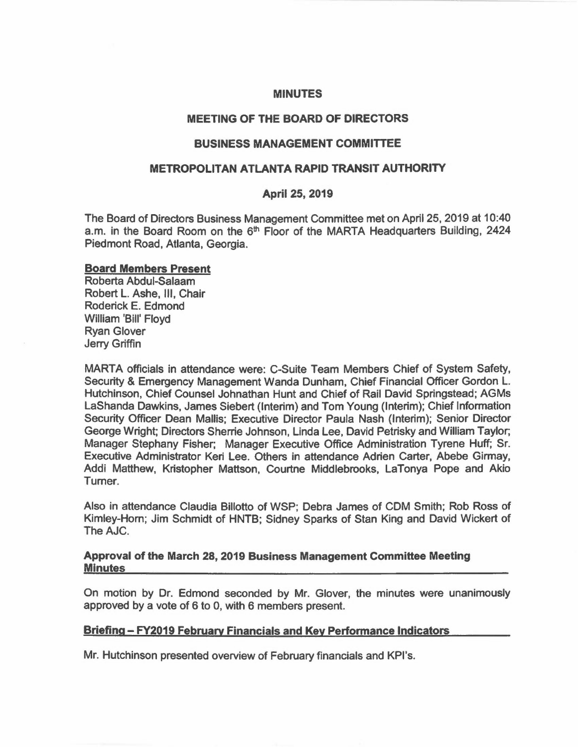#### **MINUTES**

#### **MEETING OF THE BOARD OF DIRECTORS**

#### **BUSINESS MANAGEMENT COMMITTEE**

#### **METROPOLITAN ATLANTA RAPID TRANSIT AUTHORITY**

#### **April 25, 2019**

The Board of Directors Business Management Committee met on April 25, 2019 at 10:40 a.m. in the Board Room on the 6<sup>th</sup> Floor of the MARTA Headquarters Building, 2424 Piedmont Road, Atlanta, Georgia.

#### **Board Members Present**

Roberta Abdul-Salaam Robert L. Ashe, 111, Chair Roderick E. Edmond William 'Bill' Floyd Ryan Glover Jerry Griffin

MARTA officials in attendance were: C-Suite Team Members Chief of System Safety, Security & Emergency Management Wanda Dunham, Chief Financial Officer Gordon L. Hutchinson, Chief Counsel Johnathan Hunt and Chief of Rail David Springstead; AGMs Lashanda Dawkins, James Siebert (Interim) and Tom Young (Interim); Chief Information Security Officer Dean Mallis; Executive Director Paula Nash (Interim); Senior Director George Wright; Directors Sherrie Johnson, Linda Lee, David Petrisky and William Taylor; Manager Stephany Fisher; Manager Executive Office Administration Tyrene Huff; Sr. Executive Administrator Keri Lee. Others in attendance Adrien Carter, Abebe Girmay, Addi Matthew, Kristopher Mattson, Courtne Middlebrooks, LaTonya Pope and Akio Turner.

Also in attendance Claudia Billotto of WSP; Debra James of CDM Smith; Rob Ross of Kimley-Hom; Jim Schmidt of HNTB; Sidney Sparks of Stan King and David Wickert of The AJC.

### **Approval of the March 28, 2019 Business Management Committee Meeting Minutes**

On motion by Dr. Edmond seconded by Mr. Glover, the minutes were unanimously approved by a vote of 6 to 0, with 6 members present.

#### **Briefing - FY2019 February Financials and Key Performance Indicators**

Mr. Hutchinson presented overview of February financials and KPl's.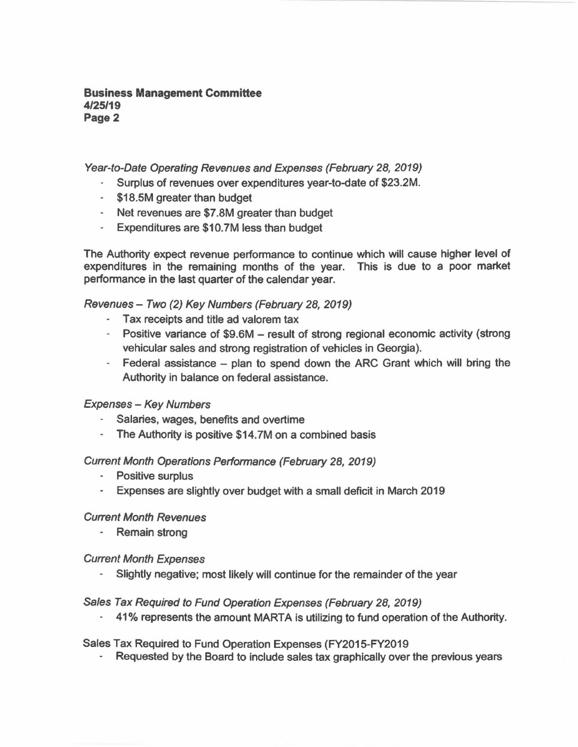### **Business Management Committee 4/25/19 Page2**

*Year-to-Date Operating Revenues and Expenses (February 28, 2019)* 

- Surplus of revenues over expenditures year-to-date of \$23.2M.
- \$18.5M greater than budget
- Net revenues are \$7.8M greater than budget
- Expenditures are \$10.7M less than budget

The Authority expect revenue performance to continue which will cause higher level of expenditures in the remaining months of the year. This is due to a poor market perfonnance in the last quarter of the calendar year.

# *Revenues- Two (2)* Key *Numbers (February 28, 2019)*

- Tax receipts and title ad valorem tax
- Positive variance of \$9.6M result of strong regional economic activity (strong vehicular sales and strong registration of vehicles in Georgia).
- Federal assistance plan to spend down the ARC Grant which will bring the Authority in balance on federal assistance.

# *Expenses - Key Numbers*

- Salaries, wages, benefits and overtime
- The Authority is positive \$14.7M on a combined basis

# *Cturem Month Operations Performance (February 28, 2019)*

- Positive surplus  $\sim$
- $\sim$ Expenses are slightly over budget with a small deficit in March 2019

# **Current Month Revenues**

Remain strong

# *Curren: Month Expenses*

Slightly negative; most likely will continue for the remainder of the year

# *Sales Tax Required to Fund Operation Expenses (February 28, 2019)*

- 41 % represents the amount MARTA is utilizing to fund operation of the Authority.

# Sales Tax Required to Fund Operation Expenses (FY2015-FY2019

Requested by the Board to include sales tax graphically over the previous years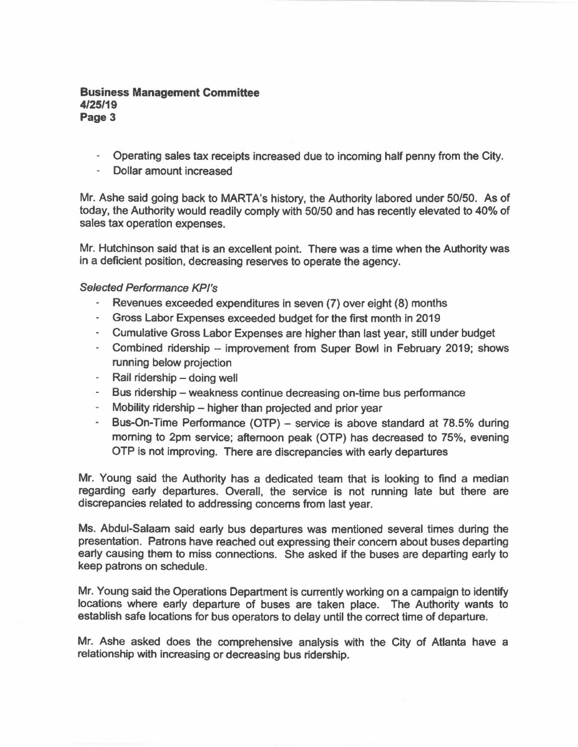### **Business Management Committee 4/25/19 Page3**

- Operating sales tax receipts increased due to incoming half penny from the City.
- Dollar amount increased

Mr. Ashe said going back to MARTA's history, the Authority labored under 50/50. As of today, the Authority would readily comply with 50/50 and has recently elevated to 40% of sales tax operation expenses.

Mr. Hutchinson said that is an excellent point. There was a time when the Authority was in a deficient position, decreasing reserves to operate the agency.

# *Selected Performance KPl's*

- Revenues exceeded expenditures in seven (7) over eight (8) months
- Gross Labor Expenses exceeded budget for the first month in 2019
- Cumulative Gross Labor Expenses are higher than last year, still under budget
- Combined ridership improvement from Super Bowl in February 2019; shows running below projection
- $R$ ail ridership doing well
- Bus ridership weakness continue decreasing on-time bus performance
- Mobility ridership higher than projected and prior year
- Bus-On-Time Performance (OTP) service is above standard at 78.5% during morning to 2pm service; afternoon peak (OTP) has decreased to 75%, evening OTP is not improving. There are discrepancies with early departures

Mr. Young said the Authority has a dedicated team that is looking to find a median regarding early departures. Overall, the service is not running late but there are discrepancies related to addressing concerns from last year.

Ms. Abdul-Salaam said early bus departures was mentioned several times during the presentation. Patrons have reached out expressing their concern about buses departing early causing them to miss connections. She asked if the buses are departing early to keep patrons on schedule.

Mr. Young said the Operations Department is currently working on a campaign to identify locations where early departure of buses are taken place. The Authority wants to establish safe locations for bus operators to delay until the correct time of departure.

Mr. Ashe asked does the comprehensive analysis with the City of Atlanta have a relationship with increasing or decreasing bus ridership.